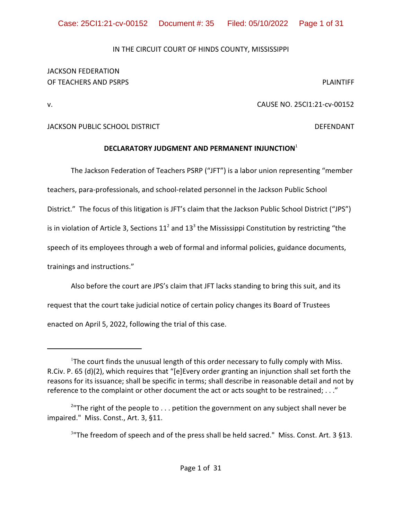# IN THE CIRCUIT COURT OF HINDS COUNTY, MISSISSIPPI

# JACKSON FEDERATION OF TEACHERS AND PSRPS **PLAINTIFF**

# v. CAUSE NO. 25CI1:21-cv-00152

# JACKSON PUBLIC SCHOOL DISTRICT DEFENDANT

# **DECLARATORY JUDGMENT AND PERMANENT INJUNCTION**<sup>1</sup>

The Jackson Federation of Teachers PSRP ("JFT") is a labor union representing "member

teachers, para-professionals, and school-related personnel in the Jackson Public School

District." The focus of this litigation is JFT's claim that the Jackson Public School District ("JPS")

is in violation of Article 3, Sections  $11^2$  and  $13^3$  the Mississippi Constitution by restricting "the

speech of its employees through a web of formal and informal policies, guidance documents,

trainings and instructions."

Also before the court are JPS's claim that JFT lacks standing to bring this suit, and its request that the court take judicial notice of certain policy changes its Board of Trustees enacted on April 5, 2022, following the trial of this case.

<sup>&</sup>lt;sup>1</sup>The court finds the unusual length of this order necessary to fully comply with Miss. R.Civ. P. 65 (d)(2), which requires that "[e]Every order granting an injunction shall set forth the reasons for its issuance; shall be specific in terms; shall describe in reasonable detail and not by reference to the complaint or other document the act or acts sought to be restrained; . . ."

<sup>&</sup>lt;sup>2</sup>"The right of the people to  $\dots$  petition the government on any subject shall never be impaired." Miss. Const., Art. 3, §11.

 $3"$ The freedom of speech and of the press shall be held sacred." Miss. Const. Art. 3 §13.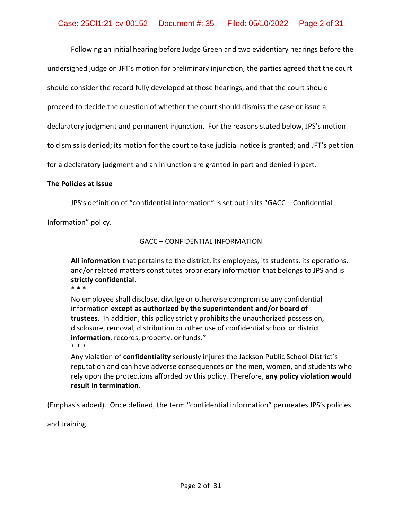Following an initial hearing before Judge Green and two evidentiary hearings before the undersigned judge on JFT's motion for preliminary injunction, the parties agreed that the court should consider the record fully developed at those hearings, and that the court should proceed to decide the question of whether the court should dismiss the case or issue a declaratory judgment and permanent injunction. For the reasons stated below, JPS's motion to dismiss is denied; its motion for the court to take judicial notice is granted; and JFT's petition for a declaratory judgment and an injunction are granted in part and denied in part.

#### **The Policies at Issue**

JPS's definition of "confidential information" is set out in its "GACC – Confidential

Information" policy.

# GACC – CONFIDENTIAL INFORMATION

**All information** that pertains to the district, its employees, its students, its operations, and/or related matters constitutes proprietary information that belongs to JPS and is **strictly confidential**. \* \* \*

No employee shall disclose, divulge or otherwise compromise any confidential information **except as authorized by the superintendent and/or board of trustees**. In addition, this policy strictly prohibits the unauthorized possession, disclosure, removal, distribution or other use of confidential school or district **information**, records, property, or funds." \* \* \*

Any violation of **confidentiality** seriously injures the Jackson Public School District's reputation and can have adverse consequences on the men, women, and students who rely upon the protections afforded by this policy. Therefore, **any policy violation would result in termination**.

(Emphasis added). Once defined, the term "confidential information" permeates JPS's policies

and training.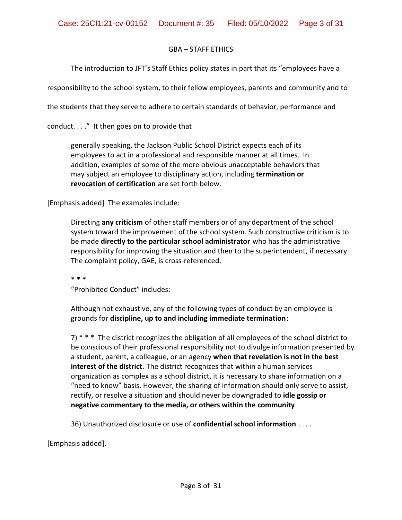#### GBA – STAFF ETHICS

The introduction to JFT's Staff Ethics policy states in part that its "employees have a

responsibility to the school system, to their fellow employees, parents and community and to

the students that they serve to adhere to certain standards of behavior, performance and

conduct. . . ." It then goes on to provide that

generally speaking, the Jackson Public School District expects each of its employees to act in a professional and responsible manner at all times. In addition, examples of some of the more obvious unacceptable behaviors that may subject an employee to disciplinary action, including **termination or revocation of certification** are set forth below.

[Emphasis added] The examples include:

Directing **any criticism** of other staff members or of any department of the school system toward the improvement of the school system. Such constructive criticism is to be made **directly to the particular school administrator** who has the administrative responsibility for improving the situation and then to the superintendent, if necessary. The complaint policy, GAE, is cross-referenced.

\* \* \*

"Prohibited Conduct" includes:

Although not exhaustive, any of the following types of conduct by an employee is grounds for **discipline, up to and including immediate termination**:

7) \* \* \* The district recognizes the obligation of all employees of the school district to be conscious of their professional responsibility not to divulge information presented by a student, parent, a colleague, or an agency **when that revelation is not in the best interest of the district**. The district recognizes that within a human services organization as complex as a school district, it is necessary to share information on a "need to know" basis. However, the sharing of information should only serve to assist, rectify, or resolve a situation and should never be downgraded to **idle gossip or negative commentary to the media, or others within the community**.

36) Unauthorized disclosure or use of **confidential school information** . . . .

[Emphasis added].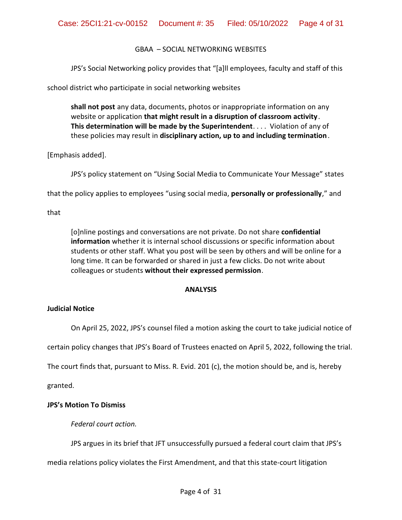# GBAA – SOCIAL NETWORKING WEBSITES

JPS's Social Networking policy provides that "[a]ll employees, faculty and staff of this

school district who participate in social networking websites

**shall not post** any data, documents, photos or inappropriate information on any website or application **that might result in a disruption of classroom activity**. **This determination will be made by the Superintendent**. . . . Violation of any of these policies may result in **disciplinary action, up to and including termination**.

[Emphasis added].

JPS's policy statement on "Using Social Media to Communicate Your Message" states

that the policy applies to employees "using social media, **personally or professionally**," and

that

[o]nline postings and conversations are not private. Do not share **confidential information** whether it is internal school discussions or specific information about students or other staff. What you post will be seen by others and will be online for a long time. It can be forwarded or shared in just a few clicks. Do not write about colleagues or students **without their expressed permission**.

# **ANALYSIS**

# **Judicial Notice**

On April 25, 2022, JPS's counsel filed a motion asking the court to take judicial notice of

certain policy changes that JPS's Board of Trustees enacted on April 5, 2022, following the trial.

The court finds that, pursuant to Miss. R. Evid. 201 (c), the motion should be, and is, hereby

granted.

# **JPS's Motion To Dismiss**

*Federal court action.*

JPS argues in its brief that JFT unsuccessfully pursued a federal court claim that JPS's

media relations policy violates the First Amendment, and that this state-court litigation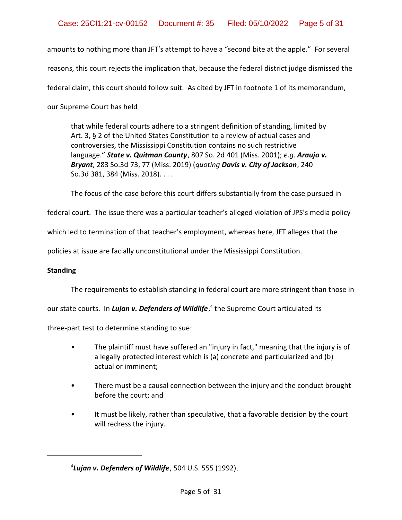amounts to nothing more than JFT's attempt to have a "second bite at the apple." For several reasons, this court rejects the implication that, because the federal district judge dismissed the federal claim, this court should follow suit. As cited by JFT in footnote 1 of its memorandum, our Supreme Court has held

that while federal courts adhere to a stringent definition of standing, limited by Art. 3, § 2 of the United States Constitution to a review of actual cases and controversies, the Mississippi Constitution contains no such restrictive language." *State v. Quitman County*, 807 So. 2d 401 (Miss. 2001); *e.g*. *Araujo v. Bryant*, 283 So.3d 73, 77 (Miss. 2019) (*quoting Davis v. City of Jackson*, 240 So.3d 381, 384 (Miss. 2018). . . .

The focus of the case before this court differs substantially from the case pursued in

federal court. The issue there was a particular teacher's alleged violation of JPS's media policy

which led to termination of that teacher's employment, whereas here, JFT alleges that the

policies at issue are facially unconstitutional under the Mississippi Constitution.

#### **Standing**

The requirements to establish standing in federal court are more stringent than those in

our state courts. In *Luj<mark>an v. Defenders of Wildlife</mark>*,<sup>4</sup> the Supreme Court articulated its

three-part test to determine standing to sue:

- The plaintiff must have suffered an "injury in fact," meaning that the injury is of a legally protected interest which is (a) concrete and particularized and (b) actual or imminent;
- There must be a causal connection between the injury and the conduct brought before the court; and
- It must be likely, rather than speculative, that a favorable decision by the court will redress the injury.

<sup>4</sup> *Lujan v. Defenders of Wildlife*, 504 U.S. 555 (1992).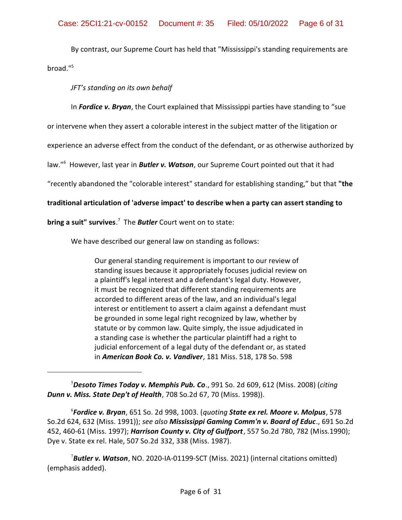By contrast, our Supreme Court has held that "Mississippi's standing requirements are broad."<sup>5</sup>

*JFT's standing on its own behalf*

In *Fordice v. Bryan*, the Court explained that Mississippi parties have standing to "sue

or intervene when they assert a colorable interest in the subject matter of the litigation or

experience an adverse effect from the conduct of the defendant, or as otherwise authorized by

law." 6 However, last year in *Butler v. Watson*, our Supreme Court pointed out that it had

"recently abandoned the "colorable interest" standard for establishing standing," but that **"the**

# **traditional articulation of 'adverse impact' to describe when a party can assert standing to**

**bring a suit" survives**. 7 The *Butler* Court went on to state:

We have described our general law on standing as follows:

Our general standing requirement is important to our review of standing issues because it appropriately focuses judicial review on a plaintiff's legal interest and a defendant's legal duty. However, it must be recognized that different standing requirements are accorded to different areas of the law, and an individual's legal interest or entitlement to assert a claim against a defendant must be grounded in some legal right recognized by law, whether by statute or by common law. Quite simply, the issue adjudicated in a standing case is whether the particular plaintiff had a right to judicial enforcement of a legal duty of the defendant or, as stated in *American Book Co. v. Vandiver*, 181 Miss. 518, 178 So. 598

<sup>5</sup>*Desoto Times Today v. Memphis Pub. Co*., 991 So. 2d 609, 612 (Miss. 2008) (*citing Dunn v. Miss. State Dep't of Health*, 708 So.2d 67, 70 (Miss. 1998)).

6 *Fordice v. Bryan*, 651 So. 2d 998, 1003. (*quoting State ex rel. Moore v. Molpus*, 578 So.2d 624, 632 (Miss. 1991)); *see also Mississippi Gaming Comm'n v. Board of Educ*., 691 So.2d 452, 460-61 (Miss. 1997); *Harrison County v. City of Gulfport*, 557 So.2d 780, 782 (Miss.1990); Dye v. State ex rel. Hale, 507 So.2d 332, 338 (Miss. 1987).

<sup>7</sup>*Butler v. Watson*, NO. 2020-IA-01199-SCT (Miss. 2021) (internal citations omitted) (emphasis added).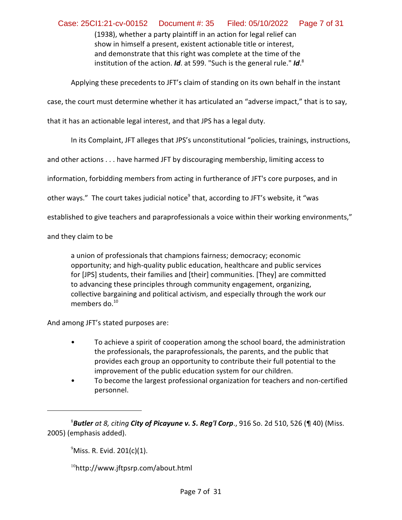(1938), whether a party plaintiff in an action for legal relief can show in himself a present, existent actionable title or interest, and demonstrate that this right was complete at the time of the institution of the action. *Id*. at 599. "Such is the general rule." *Id*. 8

Applying these precedents to JFT's claim of standing on its own behalf in the instant

case, the court must determine whether it has articulated an "adverse impact," that is to say,

that it has an actionable legal interest, and that JPS has a legal duty.

In its Complaint, JFT alleges that JPS's unconstitutional "policies, trainings, instructions,

and other actions . . . have harmed JFT by discouraging membership, limiting access to

information, forbidding members from acting in furtherance of JFT's core purposes, and in

other ways." The court takes judicial notice<sup>9</sup> that, according to JFT's website, it "was

established to give teachers and paraprofessionals a voice within their working environments,"

and they claim to be

a union of professionals that champions fairness; democracy; economic opportunity; and high-quality public education, healthcare and public services for [JPS] students, their families and [their] communities. [They] are committed to advancing these principles through community engagement, organizing, collective bargaining and political activism, and especially through the work our members do. $10<sup>10</sup>$ 

And among JFT's stated purposes are:

- To achieve a spirit of cooperation among the school board, the administration the professionals, the paraprofessionals, the parents, and the public that provides each group an opportunity to contribute their full potential to the improvement of the public education system for our children.
- To become the largest professional organization for teachers and non-certified personnel.

 $^{9}$ Miss. R. Evid. 201(c)(1).

10 http://www.jftpsrp.com/about.html

<sup>8</sup>*Butler at 8, citing City of Picayune v. S. Reg'l Corp*., 916 So. 2d 510, 526 (¶ 40) (Miss. 2005) (emphasis added).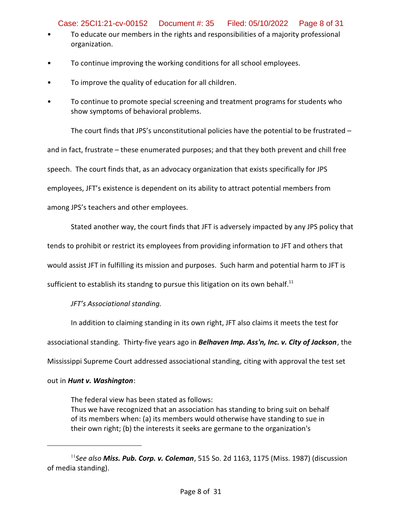Case: 25CI1:21-cv-00152 Document #: 35 Filed: 05/10/2022 Page 8 of 31

- To educate our members in the rights and responsibilities of a majority professional organization.
- To continue improving the working conditions for all school employees.
- To improve the quality of education for all children.
- To continue to promote special screening and treatment programs for students who show symptoms of behavioral problems.

The court finds that JPS's unconstitutional policies have the potential to be frustrated  $$ and in fact, frustrate – these enumerated purposes; and that they both prevent and chill free speech. The court finds that, as an advocacy organization that exists specifically for JPS employees, JFT's existence is dependent on its ability to attract potential members from among JPS's teachers and other employees.

Stated another way, the court finds that JFT is adversely impacted by any JPS policy that

tends to prohibit or restrict its employees from providing information to JFT and others that

would assist JFT in fulfilling its mission and purposes. Such harm and potential harm to JFT is

sufficient to establish its standng to pursue this litigation on its own behalf. $^{11}$ 

*JFT's Associational standing.*

In addition to claiming standing in its own right, JFT also claims it meets the test for associational standing. Thirty-five years ago in *Belhaven Imp. Ass'n, Inc. v. City of Jackson*, the Mississippi Supreme Court addressed associational standing, citing with approval the test set

# out in *Hunt v. Washington*:

The federal view has been stated as follows: Thus we have recognized that an association has standing to bring suit on behalf of its members when: (a) its members would otherwise have standing to sue in their own right; (b) the interests it seeks are germane to the organization's

<sup>11</sup> *See also Miss. Pub. Corp. v. Coleman*, 515 So. 2d 1163, 1175 (Miss. 1987) (discussion of media standing).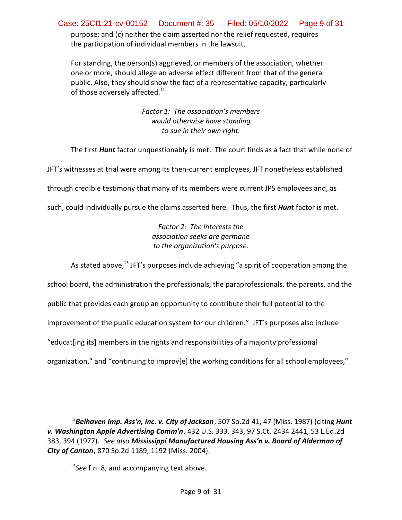purpose; and (c) neither the claim asserted nor the relief requested, requires the participation of individual members in the lawsuit. Case: 25CI1:21-cv-00152 Document #: 35 Filed: 05/10/2022 Page 9 of 31

For standing, the person(s) aggrieved, or members of the association, whether one or more, should allege an adverse effect different from that of the general public. Also, they should show the fact of a representative capacity, particularly of those adversely affected.<sup>12</sup>

> *Factor 1: The association's members would otherwise have standing to sue in their own right.*

The first *Hunt* factor unquestionably is met. The court finds as a fact that while none of

JFT's witnesses at trial were among its then-current employees, JFT nonetheless established

through credible testimony that many of its members were current JPS employees and, as

such, could individually pursue the claims asserted here. Thus, the first *Hunt* factor is met.

*Factor 2: The interests the association seeks are germane to the organization's purpose.*

As stated above,<sup>13</sup> JFT's purposes include achieving "a spirit of cooperation among the

school board, the administration the professionals, the paraprofessionals, the parents, and the

public that provides each group an opportunity to contribute their full potential to the

improvement of the public education system for our children." JFT's purposes also include

"educat[ing its] members in the rights and responsibilities of a majority professional

organization," and "continuing to improv[e] the working conditions for all school employees,"

<sup>12</sup>*Belhaven Imp. Ass'n, Inc. v. City of Jackson*, 507 So.2d 41, 47 (Miss. 1987) (citing *Hunt v. Washington Apple Advertising Comm'n*, 432 U.S. 333, 343, 97 S.Ct. 2434 2441, 53 L.Ed.2d 383, 394 (1977). *See also Mississippi Manufactured Housing Ass'n v. Board of Alderman of City of Canton*, 870 So.2d 1189, 1192 (Miss. 2004).

<sup>13</sup> *See* f.n. 8, and accompanying text above.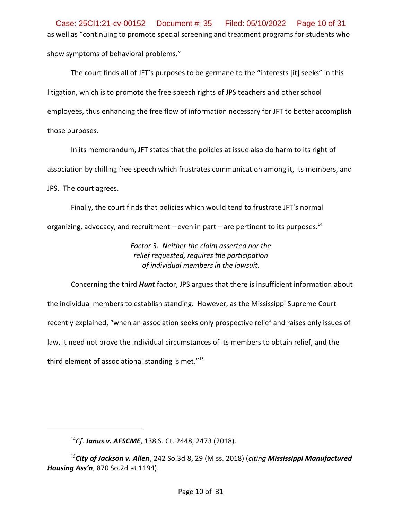as well as "continuing to promote special screening and treatment programs for students who show symptoms of behavioral problems." Case: 25CI1:21-cv-00152 Document #: 35 Filed: 05/10/2022 Page 10 of 31

The court finds all of JFT's purposes to be germane to the "interests [it] seeks" in this litigation, which is to promote the free speech rights of JPS teachers and other school employees, thus enhancing the free flow of information necessary for JFT to better accomplish those purposes.

In its memorandum, JFT states that the policies at issue also do harm to its right of association by chilling free speech which frustrates communication among it, its members, and JPS. The court agrees.

Finally, the court finds that policies which would tend to frustrate JFT's normal organizing, advocacy, and recruitment – even in part – are pertinent to its purposes.<sup>14</sup>

> *Factor 3: Neither the claim asserted nor the relief requested, requires the participation of individual members in the lawsuit.*

Concerning the third *Hunt* factor, JPS argues that there is insufficient information about the individual members to establish standing. However, as the Mississippi Supreme Court recently explained, "when an association seeks only prospective relief and raises only issues of law, it need not prove the individual circumstances of its members to obtain relief, and the third element of associational standing is met. $"15$ 

<sup>14</sup> *Cf*. *Janus v. AFSCME*, 138 S. Ct. 2448, 2473 (2018).

<sup>15</sup> *City of Jackson v. Allen*, 242 So.3d 8, 29 (Miss. 2018) (*citing Mississippi Manufactured Housing Ass'n*, 870 So.2d at 1194).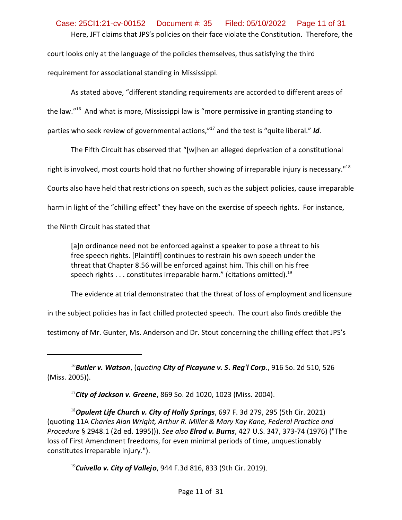# Here, JFT claims that JPS's policies on their face violate the Constitution. Therefore, the court looks only at the language of the policies themselves, thus satisfying the third Case: 25CI1:21-cv-00152 Document #: 35 Filed: 05/10/2022 Page 11 of 31

requirement for associational standing in Mississippi.

As stated above, "different standing requirements are accorded to different areas of the law."<sup>16</sup> And what is more, Mississippi law is "more permissive in granting standing to parties who seek review of governmental actions,"<sup>17</sup> and the test is "quite liberal." *Id*.

The Fifth Circuit has observed that "[w]hen an alleged deprivation of a constitutional

right is involved, most courts hold that no further showing of irreparable injury is necessary."<sup>18</sup>

Courts also have held that restrictions on speech, such as the subject policies, cause irreparable

harm in light of the "chilling effect" they have on the exercise of speech rights. For instance,

the Ninth Circuit has stated that

[a]n ordinance need not be enforced against a speaker to pose a threat to his free speech rights. [Plaintiff] continues to restrain his own speech under the threat that Chapter 8.56 will be enforced against him. This chill on his free speech rights  $\dots$  constitutes irreparable harm." (citations omitted).<sup>19</sup>

The evidence at trial demonstrated that the threat of loss of employment and licensure

in the subject policies has in fact chilled protected speech. The court also finds credible the

testimony of Mr. Gunter, Ms. Anderson and Dr. Stout concerning the chilling effect that JPS's

<sup>16</sup>*Butler v. Watson*, (*quoting City of Picayune v. S. Reg'l Corp*., 916 So. 2d 510, 526 (Miss. 2005)).

17 *City of Jackson v. Greene*, 869 So. 2d 1020, 1023 (Miss. 2004).

<sup>18</sup>*Opulent Life Church v. City of Holly Springs*, 697 F. 3d 279, 295 (5th Cir. 2021) (quoting 11A *Charles Alan Wright, Arthur R. Miller & Mary Kay Kane, Federal Practice and Procedure* § 2948.1 (2d ed. 1995))). *See also Elrod v. Burns*, 427 U.S. 347, 373-74 (1976) ("The loss of First Amendment freedoms, for even minimal periods of time, unquestionably constitutes irreparable injury.").

19 *Cuivello v. City of Vallejo*, 944 F.3d 816, 833 (9th Cir. 2019).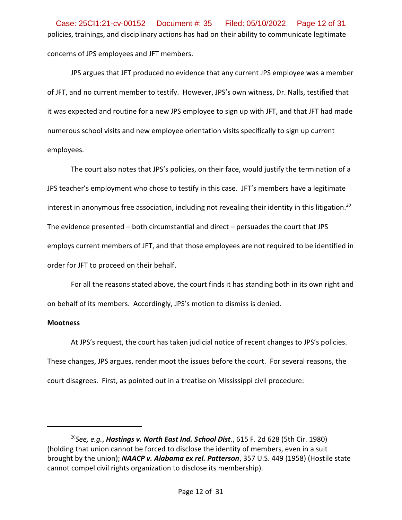policies, trainings, and disciplinary actions has had on their ability to communicate legitimate concerns of JPS employees and JFT members. Case: 25CI1:21-cv-00152 Document #: 35 Filed: 05/10/2022 Page 12 of 31

JPS argues that JFT produced no evidence that any current JPS employee was a member of JFT, and no current member to testify. However, JPS's own witness, Dr. Nalls, testified that it was expected and routine for a new JPS employee to sign up with JFT, and that JFT had made numerous school visits and new employee orientation visits specifically to sign up current employees.

The court also notes that JPS's policies, on their face, would justify the termination of a JPS teacher's employment who chose to testify in this case. JFT's members have a legitimate interest in anonymous free association, including not revealing their identity in this litigation. *20* The evidence presented – both circumstantial and direct – persuades the court that JPS employs current members of JFT, and that those employees are not required to be identified in order for JFT to proceed on their behalf.

For all the reasons stated above, the court finds it has standing both in its own right and on behalf of its members. Accordingly, JPS's motion to dismiss is denied.

# **Mootness**

At JPS's request, the court has taken judicial notice of recent changes to JPS's policies. These changes, JPS argues, render moot the issues before the court. For several reasons, the court disagrees. First, as pointed out in a treatise on Mississippi civil procedure:

<sup>&</sup>lt;sup>20</sup>See, e.g., **Hastings v. North East Ind. School Dist**., 615 F. 2d 628 (5th Cir. 1980) (holding that union cannot be forced to disclose the identity of members, even in a suit brought by the union); *NAACP v. Alabama ex rel. Patterson*, 357 U.S. 449 (1958) (Hostile state cannot compel civil rights organization to disclose its membership).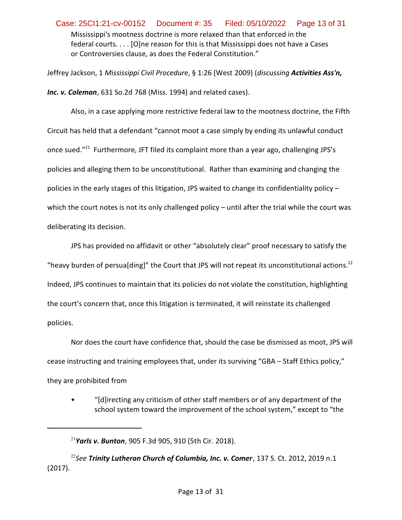Mississippi's mootness doctrine is more relaxed than that enforced in the federal courts. . . . [O]ne reason for this is that Mississippi does not have a Cases or Controversies clause, as does the Federal Constitution." Case: 25CI1:21-cv-00152 Document #: 35 Filed: 05/10/2022 Page 13 of 31

Jeffrey Jackson, 1 *Mississippi Civil Procedure*, § 1:26 (West 2009) (*discussing Activities Ass'n, Inc. v. Coleman*, 631 So.2d 768 (Miss. 1994) and related cases).

Also, in a case applying more restrictive federal law to the mootness doctrine, the Fifth Circuit has held that a defendant "cannot moot a case simply by ending its unlawful conduct once sued."<sup>21</sup> Furthermore, JFT filed its complaint more than a year ago, challenging JPS's policies and alleging them to be unconstitutional. Rather than examining and changing the policies in the early stages of this litigation, JPS waited to change its confidentiality policy – which the court notes is not its only challenged policy – until after the trial while the court was deliberating its decision.

JPS has provided no affidavit or other "absolutely clear" proof necessary to satisfy the "heavy burden of persua[ding]" the Court that JPS will not repeat its unconstitutional actions.<sup>22</sup> Indeed, JPS continues to maintain that its policies do not violate the constitution, highlighting the court's concern that, once this litigation is terminated, it will reinstate its challenged policies.

Nor does the court have confidence that, should the case be dismissed as moot, JPS will cease instructing and training employees that, under its surviving "GBA – Staff Ethics policy," they are prohibited from

• "[d]irecting any criticism of other staff members or of any department of the school system toward the improvement of the school system," except to "the

22 *See Trinity Lutheran Church of Columbia, Inc. v. Comer*, 137 S. Ct. 2012, 2019 n.1 (2017).

<sup>21</sup> *Yarls v. Bunton*, 905 F.3d 905, 910 (5th Cir. 2018).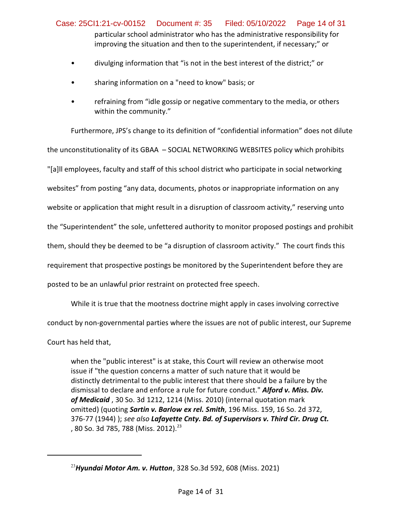particular school administrator who has the administrative responsibility for improving the situation and then to the superintendent, if necessary;" or Case: 25CI1:21-cv-00152 Document #: 35 Filed: 05/10/2022 Page 14 of 31

- divulging information that "is not in the best interest of the district;" or
- sharing information on a "need to know" basis; or
- refraining from "idle gossip or negative commentary to the media, or others within the community."

Furthermore, JPS's change to its definition of "confidential information" does not dilute the unconstitutionality of its GBAA – SOCIAL NETWORKING WEBSITES policy which prohibits "[a]ll employees, faculty and staff of this school district who participate in social networking websites" from posting "any data, documents, photos or inappropriate information on any website or application that might result in a disruption of classroom activity," reserving unto the "Superintendent" the sole, unfettered authority to monitor proposed postings and prohibit them, should they be deemed to be "a disruption of classroom activity." The court finds this requirement that prospective postings be monitored by the Superintendent before they are posted to be an unlawful prior restraint on protected free speech.

While it is true that the mootness doctrine might apply in cases involving corrective conduct by non-governmental parties where the issues are not of public interest, our Supreme Court has held that,

when the "public interest" is at stake, this Court will review an otherwise moot issue if "the question concerns a matter of such nature that it would be distinctly detrimental to the public interest that there should be a failure by the dismissal to declare and enforce a rule for future conduct." *Alford v. Miss. Div. of Medicaid* , 30 So. 3d 1212, 1214 (Miss. 2010) (internal quotation mark omitted) (quoting *Sartin v. Barlow ex rel. Smith*, 196 Miss. 159, 16 So. 2d 372, 376-77 (1944) ); *see also Lafayette Cnty. Bd. of Supervisors v. Third Cir. Drug Ct.* , 80 So. 3d 785, 788 (Miss. 2012).<sup>23</sup>

<sup>23</sup>*Hyundai Motor Am. v. Hutton*, 328 So.3d 592, 608 (Miss. 2021)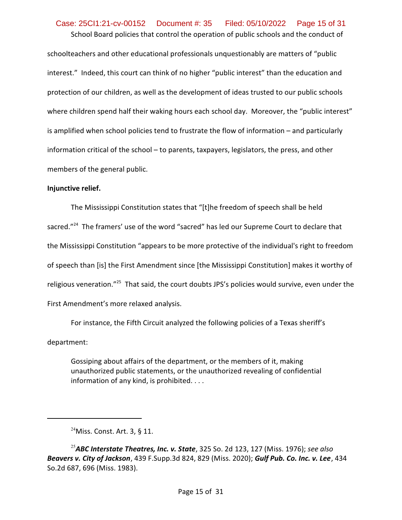# School Board policies that control the operation of public schools and the conduct of Case: 25CI1:21-cv-00152 Document #: 35 Filed: 05/10/2022 Page 15 of 31

schoolteachers and other educational professionals unquestionably are matters of "public interest." Indeed, this court can think of no higher "public interest" than the education and protection of our children, as well as the development of ideas trusted to our public schools where children spend half their waking hours each school day. Moreover, the "public interest" is amplified when school policies tend to frustrate the flow of information – and particularly information critical of the school – to parents, taxpayers, legislators, the press, and other members of the general public.

#### **Injunctive relief.**

The Mississippi Constitution states that "[t]he freedom of speech shall be held sacred."<sup>24</sup> The framers' use of the word "sacred" has led our Supreme Court to declare that the Mississippi Constitution "appears to be more protective of the individual's right to freedom of speech than [is] the First Amendment since [the Mississippi Constitution] makes it worthy of religious veneration."<sup>25</sup> That said, the court doubts JPS's policies would survive, even under the First Amendment's more relaxed analysis.

For instance, the Fifth Circuit analyzed the following policies of a Texas sheriff's department:

Gossiping about affairs of the department, or the members of it, making unauthorized public statements, or the unauthorized revealing of confidential information of any kind, is prohibited. . . .

 $24$ Miss. Const. Art. 3, § 11.

<sup>25</sup>*ABC Interstate Theatres, Inc. v. State*, 325 So. 2d 123, 127 (Miss. 1976); *see also Beavers v. City of Jackson*, 439 F.Supp.3d 824, 829 (Miss. 2020); *Gulf Pub. Co. Inc. v. Lee*, 434 So.2d 687, 696 (Miss. 1983).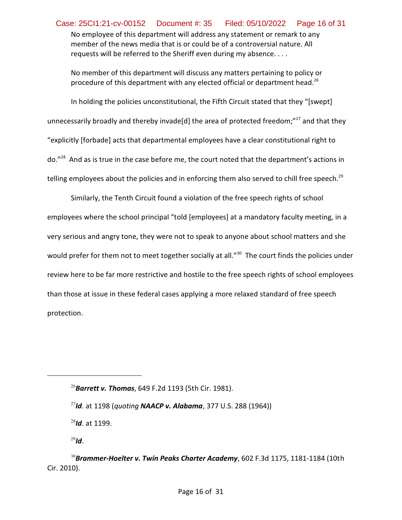No employee of this department will address any statement or remark to any member of the news media that is or could be of a controversial nature. All requests will be referred to the Sheriff even during my absence. . . . Case: 25CI1:21-cv-00152 Document #: 35 Filed: 05/10/2022 Page 16 of 31

No member of this department will discuss any matters pertaining to policy or procedure of this department with any elected official or department head.<sup>26</sup>

In holding the policies unconstitutional, the Fifth Circuit stated that they "[swept] unnecessarily broadly and thereby invade[d] the area of protected freedom;"<sup>27</sup> and that they "explicitly [forbade] acts that departmental employees have a clear constitutional right to do."<sup>28</sup> And as is true in the case before me, the court noted that the department's actions in telling employees about the policies and in enforcing them also served to chill free speech.<sup>29</sup>

Similarly, the Tenth Circuit found a violation of the free speech rights of school employees where the school principal "told [employees] at a mandatory faculty meeting, in a very serious and angry tone, they were not to speak to anyone about school matters and she would prefer for them not to meet together socially at all." $^{30}$  The court finds the policies under review here to be far more restrictive and hostile to the free speech rights of school employees than those at issue in these federal cases applying a more relaxed standard of free speech protection.

<sup>26</sup>*Barrett v. Thomas*, 649 F.2d 1193 (5th Cir. 1981).

<sup>27</sup> *Id*. at 1198 (*quoting NAACP v. Alabama*, 377 U.S. 288 (1964))

<sup>28</sup> *Id*. at 1199.

<sup>29</sup> *Id*.

<sup>30</sup>*Brammer-Hoelter v. Twin Peaks Charter Academy*, 602 F.3d 1175, 1181-1184 (10th Cir. 2010).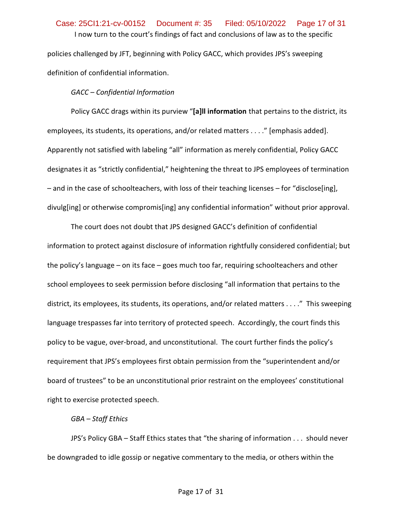# I now turn to the court's findings of fact and conclusions of law as to the specific Case: 25CI1:21-cv-00152 Document #: 35 Filed: 05/10/2022 Page 17 of 31

policies challenged by JFT, beginning with Policy GACC, which provides JPS's sweeping definition of confidential information.

# *GACC – Confidential Information*

Policy GACC drags within its purview "**[a]ll information** that pertains to the district, its employees, its students, its operations, and/or related matters . . . ." [emphasis added]. Apparently not satisfied with labeling "all" information as merely confidential, Policy GACC designates it as "strictly confidential," heightening the threat to JPS employees of termination – and in the case of schoolteachers, with loss of their teaching licenses – for "disclose[ing], divulg[ing] or otherwise compromis[ing] any confidential information" without prior approval.

The court does not doubt that JPS designed GACC's definition of confidential information to protect against disclosure of information rightfully considered confidential; but the policy's language – on its face – goes much too far, requiring schoolteachers and other school employees to seek permission before disclosing "all information that pertains to the district, its employees, its students, its operations, and/or related matters . . . ." This sweeping language trespasses far into territory of protected speech. Accordingly, the court finds this policy to be vague, over-broad, and unconstitutional. The court further finds the policy's requirement that JPS's employees first obtain permission from the "superintendent and/or board of trustees" to be an unconstitutional prior restraint on the employees' constitutional right to exercise protected speech.

# *GBA – Staff Ethics*

JPS's Policy GBA – Staff Ethics states that "the sharing of information . . . should never be downgraded to idle gossip or negative commentary to the media, or others within the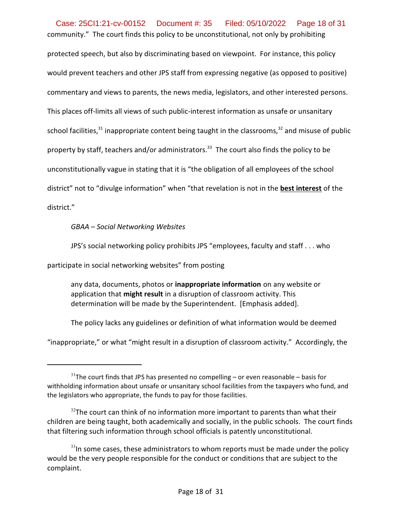community." The court finds this policy to be unconstitutional, not only by prohibiting protected speech, but also by discriminating based on viewpoint. For instance, this policy would prevent teachers and other JPS staff from expressing negative (as opposed to positive) commentary and views to parents, the news media, legislators, and other interested persons. This places off-limits all views of such public-interest information as unsafe or unsanitary school facilities,<sup>31</sup> inappropriate content being taught in the classrooms,<sup>32</sup> and misuse of public property by staff, teachers and/or administrators.<sup>33</sup> The court also finds the policy to be unconstitutionally vague in stating that it is "the obligation of all employees of the school district" not to "divulge information" when "that revelation is not in the **best interest** of the district." Case: 25CI1:21-cv-00152 Document #: 35 Filed: 05/10/2022 Page 18 of 31

*GBAA – Social Networking Websites*

JPS's social networking policy prohibits JPS "employees, faculty and staff . . . who

participate in social networking websites" from posting

any data, documents, photos or **inappropriate information** on any website or application that **might result** in a disruption of classroom activity. This determination will be made by the Superintendent. [Emphasis added].

The policy lacks any guidelines or definition of what information would be deemed

"inappropriate," or what "might result in a disruption of classroom activity." Accordingly, the

 $31$ The court finds that JPS has presented no compelling – or even reasonable – basis for withholding information about unsafe or unsanitary school facilities from the taxpayers who fund, and the legislators who appropriate, the funds to pay for those facilities.

 $32$ The court can think of no information more important to parents than what their children are being taught, both academically and socially, in the public schools. The court finds that filtering such information through school officials is patently unconstitutional.

 $^{33}$ In some cases, these administrators to whom reports must be made under the policy would be the very people responsible for the conduct or conditions that are subject to the complaint.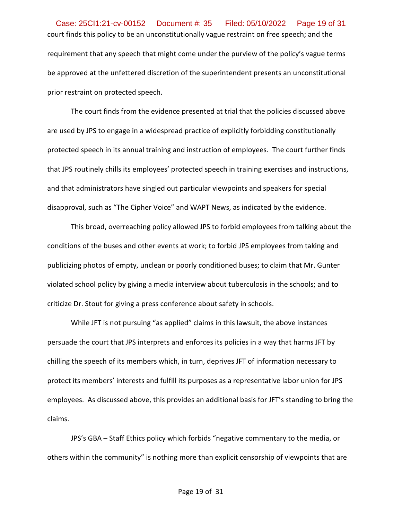court finds this policy to be an unconstitutionally vague restraint on free speech; and the requirement that any speech that might come under the purview of the policy's vague terms be approved at the unfettered discretion of the superintendent presents an unconstitutional prior restraint on protected speech. Case: 25CI1:21-cv-00152 Document #: 35 Filed: 05/10/2022 Page 19 of 31

The court finds from the evidence presented at trial that the policies discussed above are used by JPS to engage in a widespread practice of explicitly forbidding constitutionally protected speech in its annual training and instruction of employees. The court further finds that JPS routinely chills its employees' protected speech in training exercises and instructions, and that administrators have singled out particular viewpoints and speakers for special disapproval, such as "The Cipher Voice" and WAPT News, as indicated by the evidence.

This broad, overreaching policy allowed JPS to forbid employees from talking about the conditions of the buses and other events at work; to forbid JPS employees from taking and publicizing photos of empty, unclean or poorly conditioned buses; to claim that Mr. Gunter violated school policy by giving a media interview about tuberculosis in the schools; and to criticize Dr. Stout for giving a press conference about safety in schools.

While JFT is not pursuing "as applied" claims in this lawsuit, the above instances persuade the court that JPS interprets and enforces its policies in a way that harms JFT by chilling the speech of its members which, in turn, deprives JFT of information necessary to protect its members' interests and fulfill its purposes as a representative labor union for JPS employees. As discussed above, this provides an additional basis for JFT's standing to bring the claims.

JPS's GBA – Staff Ethics policy which forbids "negative commentary to the media, or others within the community" is nothing more than explicit censorship of viewpoints that are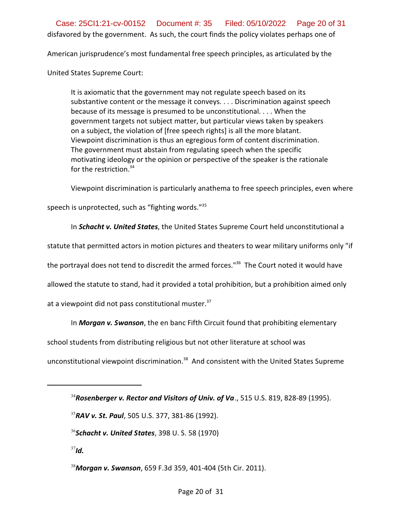disfavored by the government. As such, the court finds the policy violates perhaps one of Case: 25CI1:21-cv-00152 Document #: 35 Filed: 05/10/2022 Page 20 of 31

American jurisprudence's most fundamental free speech principles, as articulated by the

United States Supreme Court:

It is axiomatic that the government may not regulate speech based on its substantive content or the message it conveys. . . . Discrimination against speech because of its message is presumed to be unconstitutional. . . . When the government targets not subject matter, but particular views taken by speakers on a subject, the violation of [free speech rights] is all the more blatant. Viewpoint discrimination is thus an egregious form of content discrimination. The government must abstain from regulating speech when the specific motivating ideology or the opinion or perspective of the speaker is the rationale for the restriction. 34

Viewpoint discrimination is particularly anathema to free speech principles, even where

speech is unprotected, such as "fighting words."<sup>35</sup>

In *Schacht v. United States*, the United States Supreme Court held unconstitutional a

statute that permitted actors in motion pictures and theaters to wear military uniforms only "if

the portrayal does not tend to discredit the armed forces."<sup>36</sup> The Court noted it would have

allowed the statute to stand, had it provided a total prohibition, but a prohibition aimed only

at a viewpoint did not pass constitutional muster.<sup>37</sup>

In *Morgan v. Swanson*, the en banc Fifth Circuit found that prohibiting elementary

school students from distributing religious but not other literature at school was

unconstitutional viewpoint discrimination.<sup>38</sup> And consistent with the United States Supreme

<sup>34</sup>*Rosenberger v. Rector and Visitors of Univ. of Va*., 515 U.S. 819, 828-89 (1995).

<sup>35</sup>*RAV v. St. Paul*, 505 U.S. 377, 381-86 (1992).

36 *Schacht v. United States*, 398 U. S. 58 (1970)

37 *Id.*

<sup>38</sup>*Morgan v. Swanson*, 659 F.3d 359, 401-404 (5th Cir. 2011).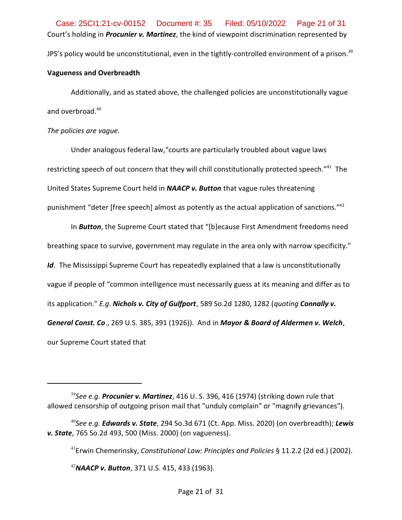Court's holding in *Procunier v. Martinez*, the kind of viewpoint discrimination represented by JPS's policy would be unconstitutional, even in the tightly-controlled environment of a prison. $^{\rm 39}$ Case: 25CI1:21-cv-00152 Document #: 35 Filed: 05/10/2022 Page 21 of 31

#### **Vagueness and Overbreadth**

Additionally, and as stated above, the challenged policies are unconstitutionally vague and overbroad. 40

# *The policies are vague.*

Under analogous federal law,"courts are particularly troubled about vague laws restricting speech of out concern that they will chill constitutionally protected speech."<sup>41</sup> The United States Supreme Court held in *NAACP v. Button* that vague rules threatening punishment "deter [free speech] almost as potently as the actual application of sanctions." $42$ 

In *Button*, the Supreme Court stated that "[b]ecause First Amendment freedoms need breathing space to survive, government may regulate in the area only with narrow specificity." *Id*. The Mississippi Supreme Court has repeatedly explained that a law is unconstitutionally vague if people of "common intelligence must necessarily guess at its meaning and differ as to its application." *E.g*. *Nichols v. City of Gulfport*, 589 So.2d 1280, 1282 (*quoting Connally v. General Const. Co*., 269 U.S. 385, 391 (1926)). And in *Mayor & Board of Aldermen v. Welch*, our Supreme Court stated that

41 Erwin Chemerinsky, *Constitutional Law: Principles and Policies* § 11.2.2 (2d ed.) (2002).

<sup>42</sup>*NAACP v. Button*, 371 U.S. 415, 433 (1963).

<sup>&</sup>lt;sup>39</sup>See e.g. **Procunier v. Martinez**, 416 U. S. 396, 416 (1974) (striking down rule that allowed censorship of outgoing prison mail that "unduly complain" or "magnify grievances").

<sup>40</sup> *See e.g. Edwards v. State*, 294 So.3d 671 (Ct. App. Miss. 2020) (on overbreadth); *Lewis v. State*, 765 So.2d 493, 500 (Miss. 2000) (on vagueness).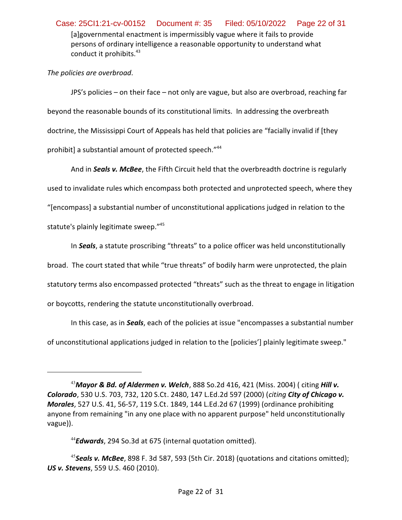[a]governmental enactment is impermissibly vague where it fails to provide persons of ordinary intelligence a reasonable opportunity to understand what conduct it prohibits.<sup>43</sup> Case: 25CI1:21-cv-00152 Document #: 35 Filed: 05/10/2022 Page 22 of 31

# *The policies are overbroad*.

JPS's policies – on their face – not only are vague, but also are overbroad, reaching far beyond the reasonable bounds of its constitutional limits. In addressing the overbreath doctrine, the Mississippi Court of Appeals has held that policies are "facially invalid if [they prohibit] a substantial amount of protected speech."<sup>44</sup>

And in *Seals v. McBee*, the Fifth Circuit held that the overbreadth doctrine is regularly used to invalidate rules which encompass both protected and unprotected speech, where they "[encompass] a substantial number of unconstitutional applications judged in relation to the statute's plainly legitimate sweep." 45

In *Seals*, a statute proscribing "threats" to a police officer was held unconstitutionally broad. The court stated that while "true threats" of bodily harm were unprotected, the plain statutory terms also encompassed protected "threats" such as the threat to engage in litigation or boycotts, rendering the statute unconstitutionally overbroad.

In this case, as in *Seals*, each of the policies at issue "encompasses a substantial number of unconstitutional applications judged in relation to the [policies'] plainly legitimate sweep."

<sup>43</sup>*Mayor & Bd. of Aldermen v. Welch*, 888 So.2d 416, 421 (Miss. 2004) ( citing *Hill v. Colorado*, 530 U.S. 703, 732, 120 S.Ct. 2480, 147 L.Ed.2d 597 (2000) (*citing City of Chicago v. Morales*, 527 U.S. 41, 56-57, 119 S.Ct. 1849, 144 L.Ed.2d 67 (1999) (ordinance prohibiting anyone from remaining "in any one place with no apparent purpose" held unconstitutionally vague)).

<sup>44</sup> *Edwards*, 294 So.3d at 675 (internal quotation omitted).

<sup>45</sup> *Seals v. McBee*, 898 F. 3d 587, 593 (5th Cir. 2018) (quotations and citations omitted); *US v. Stevens*, 559 U.S. 460 (2010).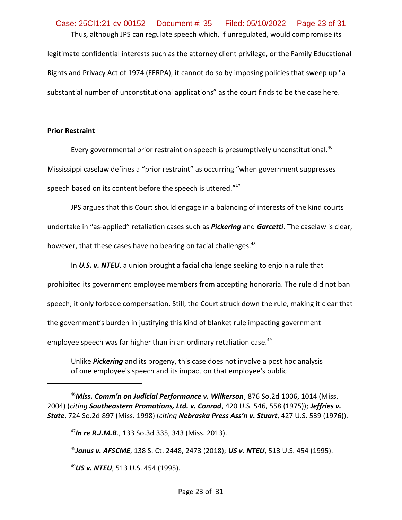# Thus, although JPS can regulate speech which, if unregulated, would compromise its legitimate confidential interests such as the attorney client privilege, or the Family Educational Rights and Privacy Act of 1974 (FERPA), it cannot do so by imposing policies that sweep up "a substantial number of unconstitutional applications" as the court finds to be the case here. Case: 25CI1:21-cv-00152 Document #: 35 Filed: 05/10/2022 Page 23 of 31

# **Prior Restraint**

Every governmental prior restraint on speech is presumptively unconstitutional.<sup>46</sup> Mississippi caselaw defines a "prior restraint" as occurring "when government suppresses speech based on its content before the speech is uttered."<sup>47</sup>

JPS argues that this Court should engage in a balancing of interests of the kind courts undertake in "as-applied" retaliation cases such as *Pickering* and *Garcetti*. The caselaw is clear, however, that these cases have no bearing on facial challenges. $48$ 

In *U.S. v. NTEU*, a union brought a facial challenge seeking to enjoin a rule that prohibited its government employee members from accepting honoraria. The rule did not ban speech; it only forbade compensation. Still, the Court struck down the rule, making it clear that the government's burden in justifying this kind of blanket rule impacting government employee speech was far higher than in an ordinary retaliation case.<sup>49</sup>

Unlike *Pickering* and its progeny, this case does not involve a post hoc analysis of one employee's speech and its impact on that employee's public

<sup>46</sup>*Miss. Comm'n on Judicial Performance v. Wilkerson*, 876 So.2d 1006, 1014 (Miss. 2004) (*citing Southeastern Promotions, Ltd. v. Conrad*, 420 U.S. 546, 558 (1975)); *Jeffries v. State*, 724 So.2d 897 (Miss. 1998) (*citing Nebraska Press Ass'n v. Stuart*, 427 U.S. 539 (1976)).

47 *In re R.J.M.B*., 133 So.3d 335, 343 (Miss. 2013).

48 *Janus v. AFSCME*, 138 S. Ct. 2448, 2473 (2018); *US v. NTEU*, 513 U.S. 454 (1995).

<sup>49</sup>*US v. NTEU*, 513 U.S. 454 (1995).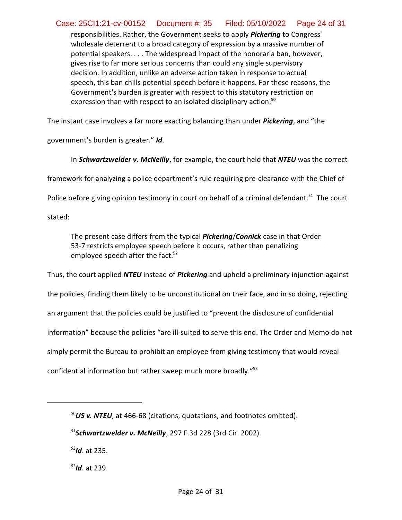responsibilities. Rather, the Government seeks to apply *Pickering* to Congress' wholesale deterrent to a broad category of expression by a massive number of potential speakers. . . . The widespread impact of the honoraria ban, however, gives rise to far more serious concerns than could any single supervisory decision. In addition, unlike an adverse action taken in response to actual speech, this ban chills potential speech before it happens. For these reasons, the Government's burden is greater with respect to this statutory restriction on expression than with respect to an isolated disciplinary action.<sup>50</sup> Case: 25CI1:21-cv-00152 Document #: 35 Filed: 05/10/2022 Page 24 of 31

The instant case involves a far more exacting balancing than under *Pickering*, and "the

government's burden is greater." *Id*.

In *Schwartzwelder v. McNeilly*, for example, the court held that *NTEU* was the correct

framework for analyzing a police department's rule requiring pre-clearance with the Chief of

Police before giving opinion testimony in court on behalf of a criminal defendant.<sup>51</sup> The court

stated:

The present case differs from the typical *Pickering*/*Connick* case in that Order 53-7 restricts employee speech before it occurs, rather than penalizing employee speech after the fact. 52

Thus, the court applied *NTEU* instead of *Pickering* and upheld a preliminary injunction against the policies, finding them likely to be unconstitutional on their face, and in so doing, rejecting an argument that the policies could be justified to "prevent the disclosure of confidential information" because the policies "are ill-suited to serve this end. The Order and Memo do not simply permit the Bureau to prohibit an employee from giving testimony that would reveal

confidential information but rather sweep much more broadly."<sup>53</sup>

52 *Id*. at 235.

53 *Id*. at 239.

<sup>&</sup>lt;sup>50</sup>US v. NTEU, at 466-68 (citations, quotations, and footnotes omitted).

<sup>51</sup> *Schwartzwelder v. McNeilly*, 297 F.3d 228 (3rd Cir. 2002).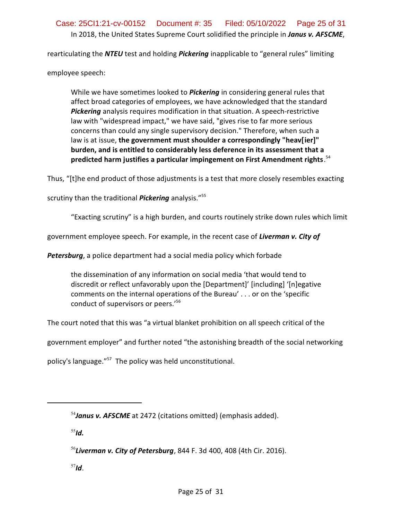rearticulating the *NTEU* test and holding *Pickering* inapplicable to "general rules" limiting

employee speech:

While we have sometimes looked to *Pickering* in considering general rules that affect broad categories of employees, we have acknowledged that the standard *Pickering* analysis requires modification in that situation. A speech-restrictive law with "widespread impact," we have said, "gives rise to far more serious concerns than could any single supervisory decision." Therefore, when such a law is at issue, **the government must shoulder a correspondingly "heav[ier]" burden, and is entitled to considerably less deference in its assessment that a predicted harm justifies a particular impingement on First Amendment rights**. 54

Thus, "[t]he end product of those adjustments is a test that more closely resembles exacting

scrutiny than the traditional *Pickering* analysis."<sup>55</sup>

"Exacting scrutiny" is a high burden, and courts routinely strike down rules which limit

government employee speech. For example, in the recent case of *Liverman v. City of*

*Petersburg*, a police department had a social media policy which forbade

the dissemination of any information on social media 'that would tend to discredit or reflect unfavorably upon the [Department]' [including] '[n]egative comments on the internal operations of the Bureau' . . . or on the 'specific conduct of supervisors or peers.'<sup>56</sup>

The court noted that this was "a virtual blanket prohibition on all speech critical of the

government employer" and further noted "the astonishing breadth of the social networking

policy's language."<sup>57</sup> The policy was held unconstitutional.

55 *Id.*

57 *Id*.

<sup>&</sup>lt;sup>54</sup>**Janus v. AFSCME** at 2472 (citations omitted) (emphasis added).

<sup>56</sup> *Liverman v. City of Petersburg*, 844 F. 3d 400, 408 (4th Cir. 2016).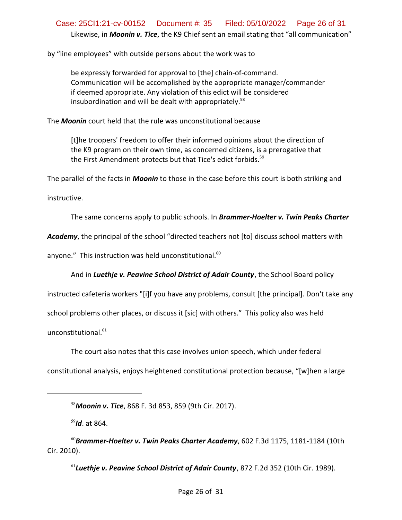# Likewise, in *Moonin v. Tice*, the K9 Chief sent an email stating that "all communication" Case: 25CI1:21-cv-00152 Document #: 35 Filed: 05/10/2022 Page 26 of 31

by "line employees" with outside persons about the work was to

be expressly forwarded for approval to [the] chain-of-command. Communication will be accomplished by the appropriate manager/commander if deemed appropriate. Any violation of this edict will be considered insubordination and will be dealt with appropriately.<sup>58</sup>

The *Moonin* court held that the rule was unconstitutional because

[t]he troopers' freedom to offer their informed opinions about the direction of the K9 program on their own time, as concerned citizens, is a prerogative that the First Amendment protects but that Tice's edict forbids.<sup>59</sup>

The parallel of the facts in *Moonin* to those in the case before this court is both striking and

instructive.

The same concerns apply to public schools. In *Brammer-Hoelter v. Twin Peaks Charter*

*Academy*, the principal of the school "directed teachers not [to] discuss school matters with

anyone." This instruction was held unconstitutional.<sup>60</sup>

And in *Luethje v. Peavine School District of Adair County*, the School Board policy

instructed cafeteria workers "[i]f you have any problems, consult [the principal]. Don't take any school problems other places, or discuss it [sic] with others." This policy also was held unconstitutional.<sup>61</sup>

The court also notes that this case involves union speech, which under federal constitutional analysis, enjoys heightened constitutional protection because, "[w]hen a large

59 *Id*. at 864.

61 *Luethje v. Peavine School District of Adair County*, 872 F.2d 352 (10th Cir. 1989).

<sup>58</sup>*Moonin v. Tice*, 868 F. 3d 853, 859 (9th Cir. 2017).

<sup>60</sup>*Brammer-Hoelter v. Twin Peaks Charter Academy*, 602 F.3d 1175, 1181-1184 (10th Cir. 2010).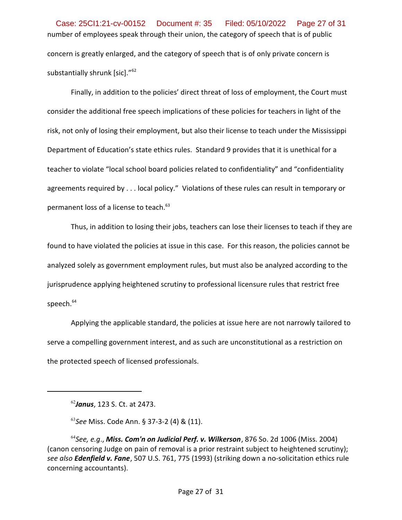number of employees speak through their union, the category of speech that is of public concern is greatly enlarged, and the category of speech that is of only private concern is substantially shrunk [sic]."<sup>62</sup> Case: 25CI1:21-cv-00152 Document #: 35 Filed: 05/10/2022 Page 27 of 31

Finally, in addition to the policies' direct threat of loss of employment, the Court must consider the additional free speech implications of these policies for teachers in light of the risk, not only of losing their employment, but also their license to teach under the Mississippi Department of Education's state ethics rules. Standard 9 provides that it is unethical for a teacher to violate "local school board policies related to confidentiality" and "confidentiality agreements required by . . . local policy." Violations of these rules can result in temporary or permanent loss of a license to teach. 63

Thus, in addition to losing their jobs, teachers can lose their licenses to teach if they are found to have violated the policies at issue in this case. For this reason, the policies cannot be analyzed solely as government employment rules, but must also be analyzed according to the jurisprudence applying heightened scrutiny to professional licensure rules that restrict free speech. 64

Applying the applicable standard, the policies at issue here are not narrowly tailored to serve a compelling government interest, and as such are unconstitutional as a restriction on the protected speech of licensed professionals.

<sup>62</sup> *Janus*, 123 S. Ct. at 2473.

<sup>63</sup> *See* Miss. Code Ann. § 37-3-2 (4) & (11).

<sup>64</sup> *See, e.g*., *Miss. Com'n on Judicial Perf. v. Wilkerson*, 876 So. 2d 1006 (Miss. 2004) (canon censoring Judge on pain of removal is a prior restraint subject to heightened scrutiny); *see also Edenfield v. Fane*, 507 U.S. 761, 775 (1993) (striking down a no-solicitation ethics rule concerning accountants).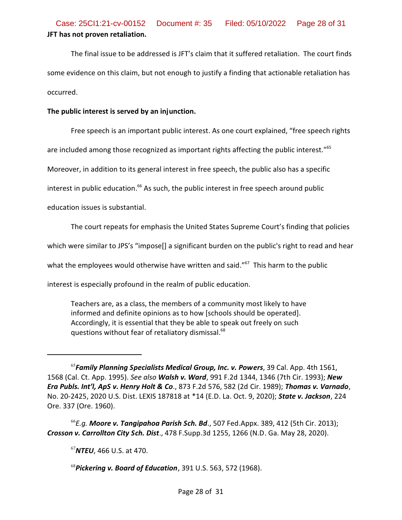The final issue to be addressed is JFT's claim that it suffered retaliation. The court finds some evidence on this claim, but not enough to justify a finding that actionable retaliation has occurred.

#### **The public interest is served by an injunction.**

Free speech is an important public interest. As one court explained, "free speech rights

are included among those recognized as important rights affecting the public interest."<sup>65</sup>

Moreover, in addition to its general interest in free speech, the public also has a specific

interest in public education.<sup>66</sup> As such, the public interest in free speech around public

education issues is substantial.

The court repeats for emphasis the United States Supreme Court's finding that policies

which were similar to JPS's "impose[] a significant burden on the public's right to read and hear

what the employees would otherwise have written and said." $^{67}$  This harm to the public

interest is especially profound in the realm of public education.

Teachers are, as a class, the members of a community most likely to have informed and definite opinions as to how [schools should be operated]. Accordingly, it is essential that they be able to speak out freely on such questions without fear of retaliatory dismissal.<sup>68</sup>

66 *E.g. Moore v. Tangipahoa Parish Sch. Bd*., 507 Fed.Appx. 389, 412 (5th Cir. 2013); *Crosson v. Carrollton City Sch. Dist*., 478 F.Supp.3d 1255, 1266 (N.D. Ga. May 28, 2020).

<sup>67</sup>*NTEU*, 466 U.S. at 470.

68 *Pickering v. Board of Education*, 391 U.S. 563, 572 (1968).

<sup>65</sup> *Family Planning Specialists Medical Group, Inc. v. Powers*, 39 Cal. App. 4th 1561, 1568 (Cal. Ct. App. 1995). *See also Walsh v. Ward*, 991 F.2d 1344, 1346 (7th Cir. 1993); *New Era Publs. Int'l, ApS v. Henry Holt & Co*., 873 F.2d 576, 582 (2d Cir. 1989); *Thomas v. Varnado*, No. 20-2425, 2020 U.S. Dist. LEXIS 187818 at \*14 (E.D. La. Oct. 9, 2020); *State v. Jackson*, 224 Ore. 337 (Ore. 1960).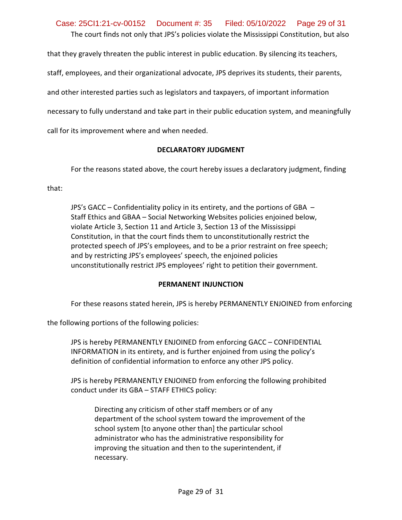The court finds not only that JPS's policies violate the Mississippi Constitution, but also Case: 25CI1:21-cv-00152 Document #: 35 Filed: 05/10/2022 Page 29 of 31

that they gravely threaten the public interest in public education. By silencing its teachers,

staff, employees, and their organizational advocate, JPS deprives its students, their parents,

and other interested parties such as legislators and taxpayers, of important information

necessary to fully understand and take part in their public education system, and meaningfully

call for its improvement where and when needed.

#### **DECLARATORY JUDGMENT**

For the reasons stated above, the court hereby issues a declaratory judgment, finding

that:

JPS's GACC – Confidentiality policy in its entirety, and the portions of GBA – Staff Ethics and GBAA – Social Networking Websites policies enjoined below, violate Article 3, Section 11 and Article 3, Section 13 of the Mississippi Constitution, in that the court finds them to unconstitutionally restrict the protected speech of JPS's employees, and to be a prior restraint on free speech; and by restricting JPS's employees' speech, the enjoined policies unconstitutionally restrict JPS employees' right to petition their government.

#### **PERMANENT INJUNCTION**

For these reasons stated herein, JPS is hereby PERMANENTLY ENJOINED from enforcing

the following portions of the following policies:

JPS is hereby PERMANENTLY ENJOINED from enforcing GACC – CONFIDENTIAL INFORMATION in its entirety, and is further enjoined from using the policy's definition of confidential information to enforce any other JPS policy.

JPS is hereby PERMANENTLY ENJOINED from enforcing the following prohibited conduct under its GBA – STAFF ETHICS policy:

Directing any criticism of other staff members or of any department of the school system toward the improvement of the school system [to anyone other than] the particular school administrator who has the administrative responsibility for improving the situation and then to the superintendent, if necessary.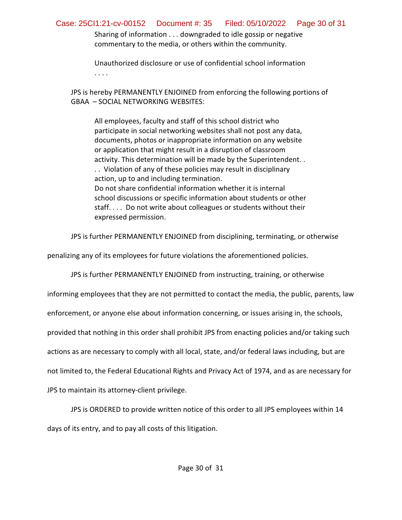Sharing of information . . . downgraded to idle gossip or negative commentary to the media, or others within the community.

Unauthorized disclosure or use of confidential school information . . . .

JPS is hereby PERMANENTLY ENJOINED from enforcing the following portions of GBAA – SOCIAL NETWORKING WEBSITES:

All employees, faculty and staff of this school district who participate in social networking websites shall not post any data, documents, photos or inappropriate information on any website or application that might result in a disruption of classroom activity. This determination will be made by the Superintendent. . . . Violation of any of these policies may result in disciplinary action, up to and including termination. Do not share confidential information whether it is internal school discussions or specific information about students or other staff. . . . Do not write about colleagues or students without their expressed permission.

JPS is further PERMANENTLY ENJOINED from disciplining, terminating, or otherwise

penalizing any of its employees for future violations the aforementioned policies.

JPS is further PERMANENTLY ENJOINED from instructing, training, or otherwise

informing employees that they are not permitted to contact the media, the public, parents, law

enforcement, or anyone else about information concerning, or issues arising in, the schools,

provided that nothing in this order shall prohibit JPS from enacting policies and/or taking such

actions as are necessary to comply with all local, state, and/or federal laws including, but are

not limited to, the Federal Educational Rights and Privacy Act of 1974, and as are necessary for

JPS to maintain its attorney-client privilege.

JPS is ORDERED to provide written notice of this order to all JPS employees within 14

days of its entry, and to pay all costs of this litigation.